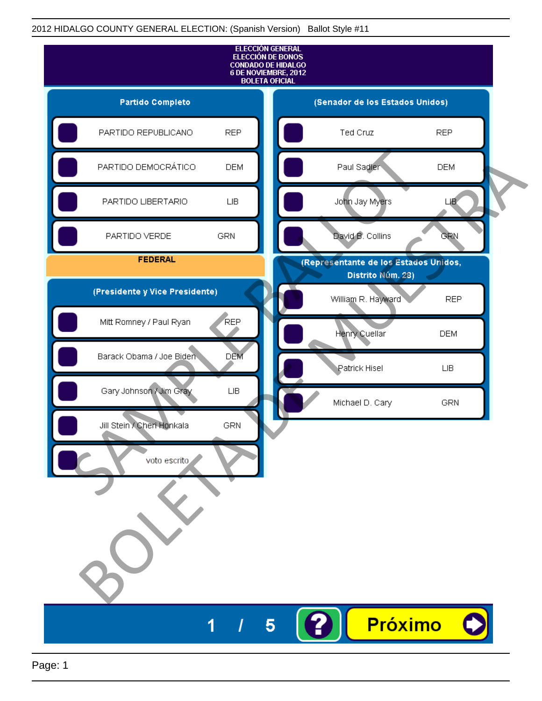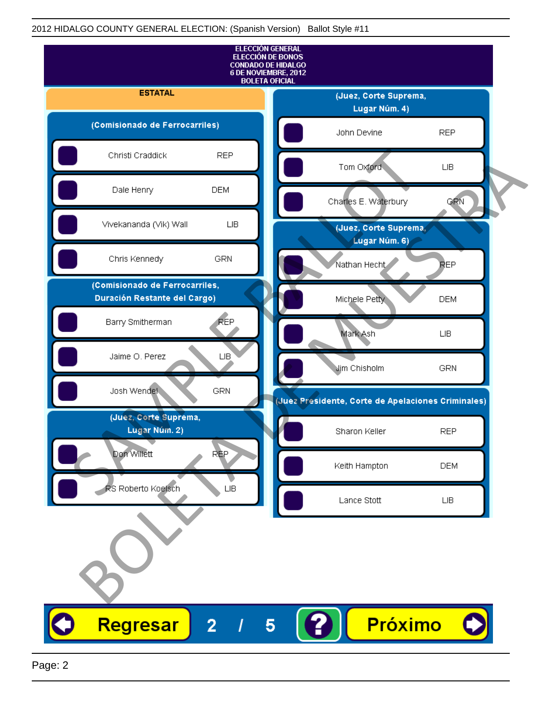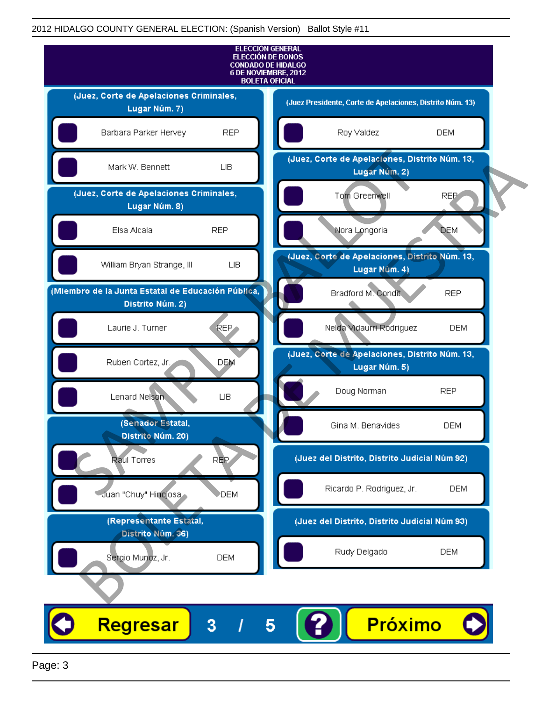

Page: 3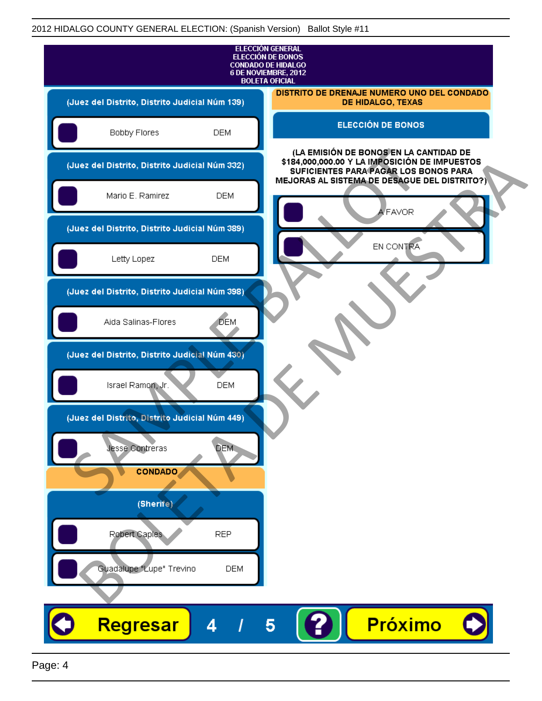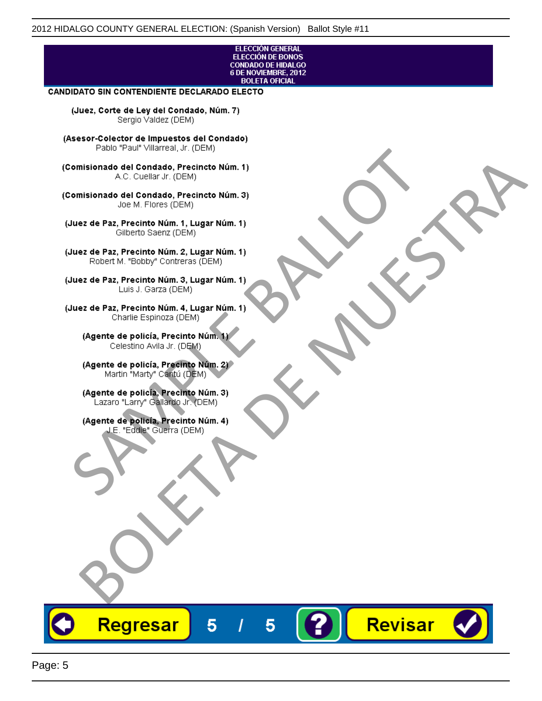## ELECCIÓN GENERAL ELECCIÓN DE BONOS<br>CONDADO DE HIDALGO<br>6 DE NOVIEMBRE, 2012 **BOLETA OFICIAL**

Revisar

## **CANDIDATO SIN CONTENDIENTE DECLARADO ELECTO**

(Juez, Corte de Ley del Condado, Núm. 7) Sergio Valdez (DEM)

(Asesor-Colector de Impuestos del Condado)

Fallo Fall Willdrea, J.I. (DEM)<br>
Consistionado el Condado, Precincto Núm. 1)<br>
A.C. Cuellar Jr. (DEM)<br>
Ullez de Paz, Precinto Núm. 1)<br>
Juez de Paz, Precinto Núm. 1, Lugar Núm. 1)<br>
Gilberto Sentr (DEM)<br>
Robert M. "Bobby" Con misionado del Condiado, Precincto Núm. 1)<br>
Andro del Condiado, Precincto Núm. 3)<br>
ez de Paz, Precinto Núm. 21<br>
algo M. Picer Lo Saerz, (CIEM)<br>
algo M. Picer Lo Saerz, (CIEM)<br>
algo M. Picer Lo Saerz, (CIEM)<br>
ez de Paz, Prec

Regresar

5

5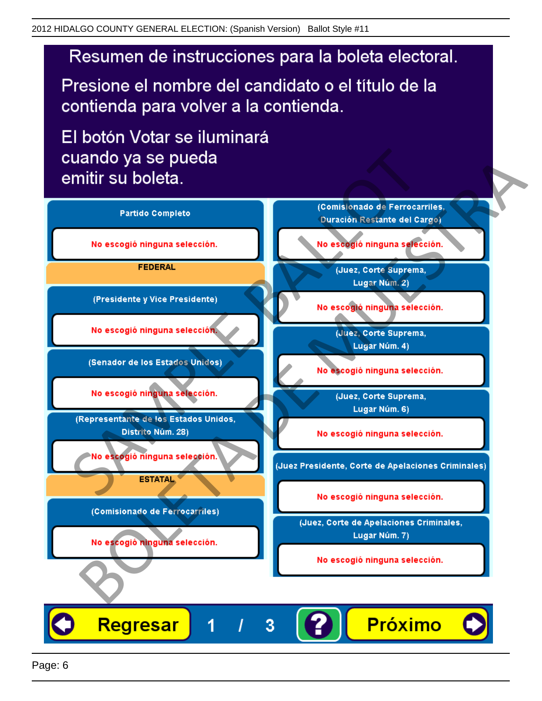# Resumen de instrucciones para la boleta electoral.

Presione el nombre del candidato o el título de la contienda para volver a la contienda.

El botón Votar se iluminará

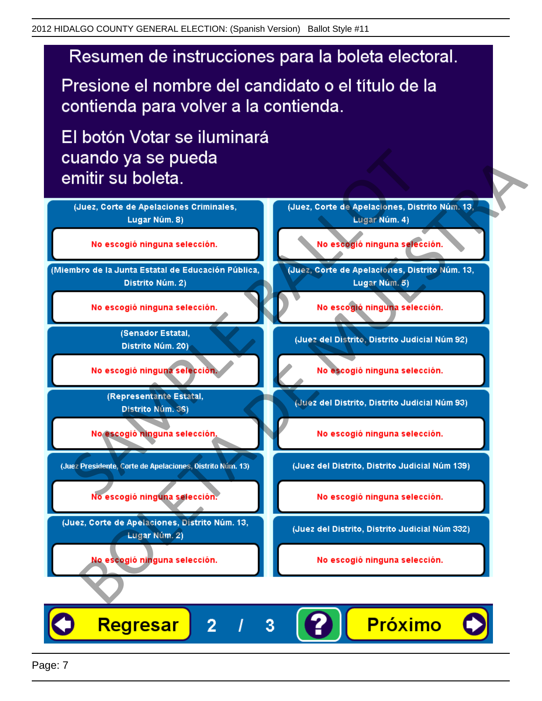# Resumen de instrucciones para la boleta electoral.

Presione el nombre del candidato o el título de la contienda para volver a la contienda.

El botón Votar se iluminará